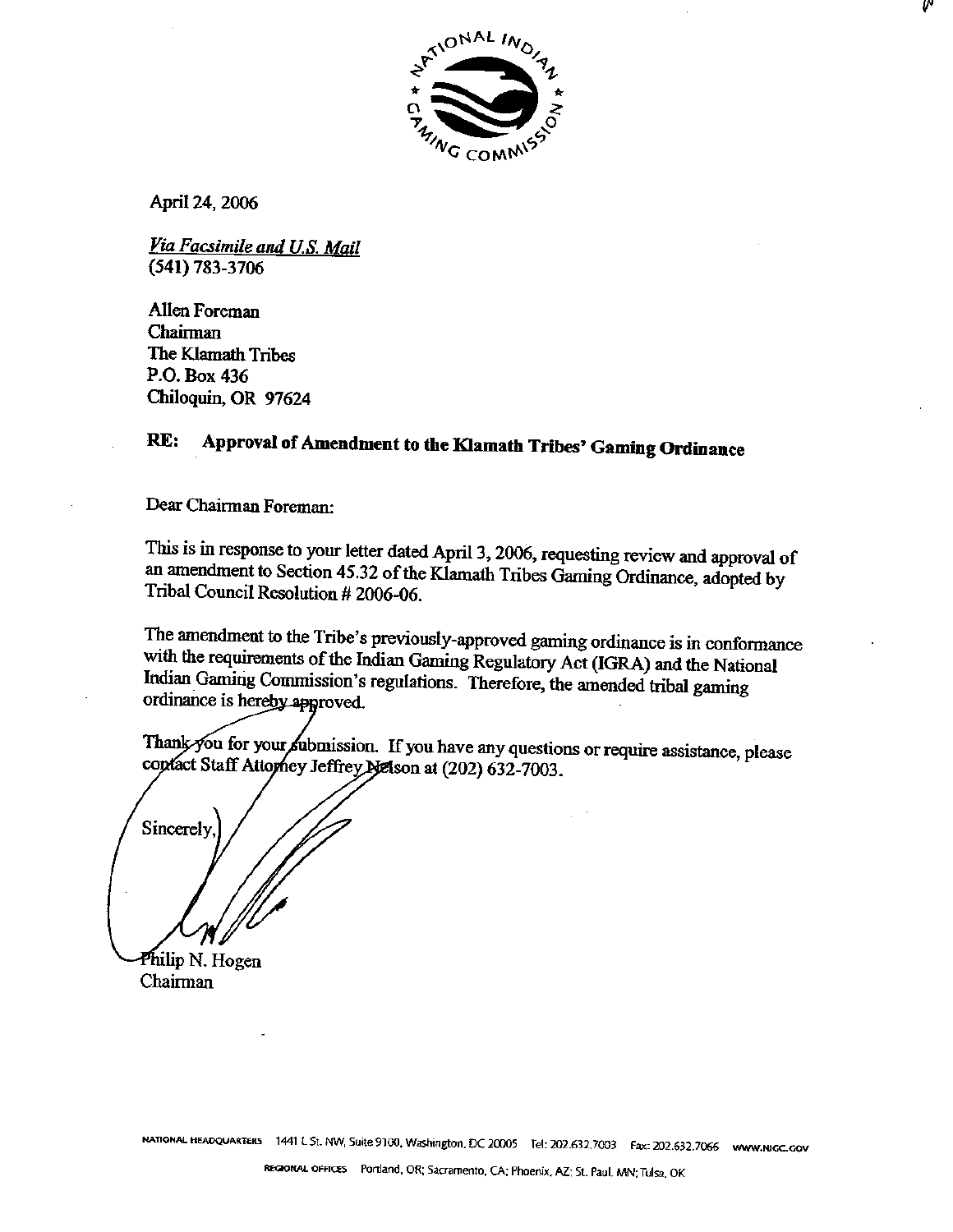

April 24, 2006

*Via Facsimile* **and US.** *Mail*  **(541) 783-3706** 

**Allen Foreman Chairman The** Klamath **Tribes P.O. Box 436 Chiloquin, OR 97624** 

## **RE: Approvd of Amendment to the Klamath Tribes' Gaming Ordiance**

Dear **Chairman Foreman:** 

**This is in response to your letter dated April 3,2006, requesting** review **and approval of an amendment to Section 45.32 of the Klamath Tribes Gaming Ordinance, adopted by Tribal Council** Resolution # **2006-06.** 

**The amendment to the Tribe's previously-approved gaming ordinance is** hi **conformance**  with the requirements of the Indian Gaming Regulatory Act (IGRA) and the National **Indian Gaming Commission's regulations. Therefore, the amended** tribal **gaming**  ordinance is hereby approved.

Thank you for your submission. If you have any questions or require assistance, please contact Staff Attorney Jeffrey Netson at (202) 632-7003.

Sincerely Philip N. Hogen

**Chairman**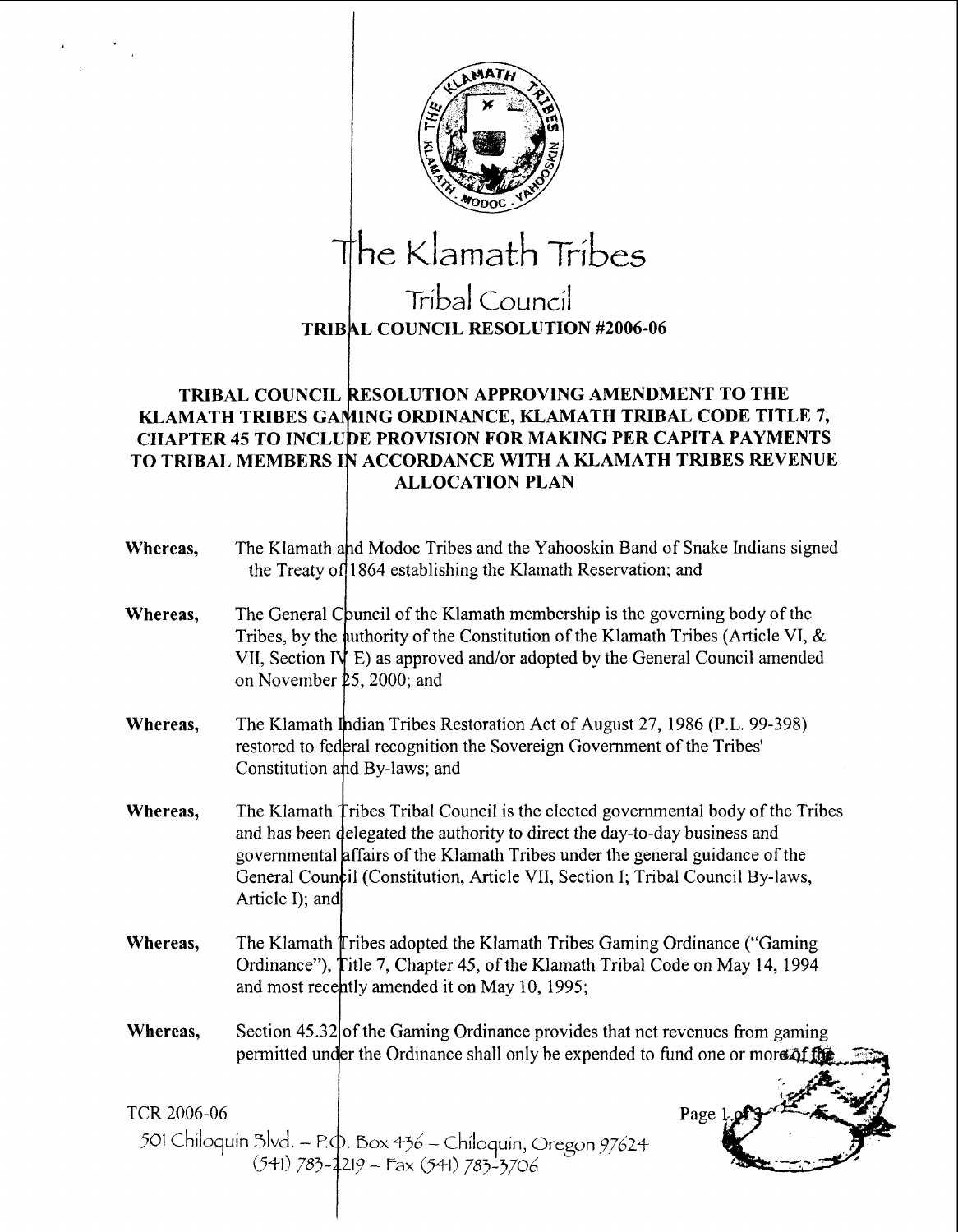

# The Klamath Tribes ~ribaI council

## **TRIBAL COUNCIL RESOLUTION #2006-06**

## **TRIBAL COUNCIL RESOLUTION APPROVING AMENDMENT TO THE** KLAMATH TRIBES GAMING ORDINANCE, KLAMATH TRIBAL CODE TITLE 7, **CHAPTER 45 TO INCLUDE PROVISION FOR MAKING PER CAPITA PAYMENTS** TO TRIBAL MEMBERS IN ACCORDANCE WITH A KLAMATH TRIBES REVENUE **ALLOCATION PLAN**

| Whereas,    |                           | The Klamath and Modoc Tribes and the Yahooskin Band of Snake Indians signed<br>the Treaty of 1864 establishing the Klamath Reservation; and                                                                                                                                                                                      |
|-------------|---------------------------|----------------------------------------------------------------------------------------------------------------------------------------------------------------------------------------------------------------------------------------------------------------------------------------------------------------------------------|
| Whereas,    | on November 25, 2000; and | The General Council of the Klamath membership is the governing body of the<br>Tribes, by the authority of the Constitution of the Klamath Tribes (Article VI, $\&$<br>VII, Section IV $E$ ) as approved and/or adopted by the General Council amended                                                                            |
| Whereas,    |                           | The Klamath Indian Tribes Restoration Act of August 27, 1986 (P.L. 99-398)<br>restored to federal recognition the Sovereign Government of the Tribes'<br>Constitution and By-laws; and                                                                                                                                           |
| Whereas,    | Article I); and           | The Klamath Tribes Tribal Council is the elected governmental body of the Tribes<br>and has been delegated the authority to direct the day-to-day business and<br>governmental affairs of the Klamath Tribes under the general guidance of the<br>General Council (Constitution, Article VII, Section I; Tribal Council By-laws, |
| Whereas,    |                           | The Klamath Tribes adopted the Klamath Tribes Gaming Ordinance ("Gaming"<br>Ordinance"), Title 7, Chapter 45, of the Klamath Tribal Code on May 14, 1994<br>and most receptly amended it on May 10, 1995;                                                                                                                        |
| Whereas,    |                           | Section 45.32 of the Gaming Ordinance provides that net revenues from gaming<br>permitted under the Ordinance shall only be expended to fund one or more of the                                                                                                                                                                  |
| TCR 2006-06 |                           | Page 1.9<br>501 Chiloquin Blvd. - P. $\varphi$ . Box 436 - Chiloquin, Oregon 97624                                                                                                                                                                                                                                               |

Ţ  $(541)$  783-2219 – Fax (541) 783-3706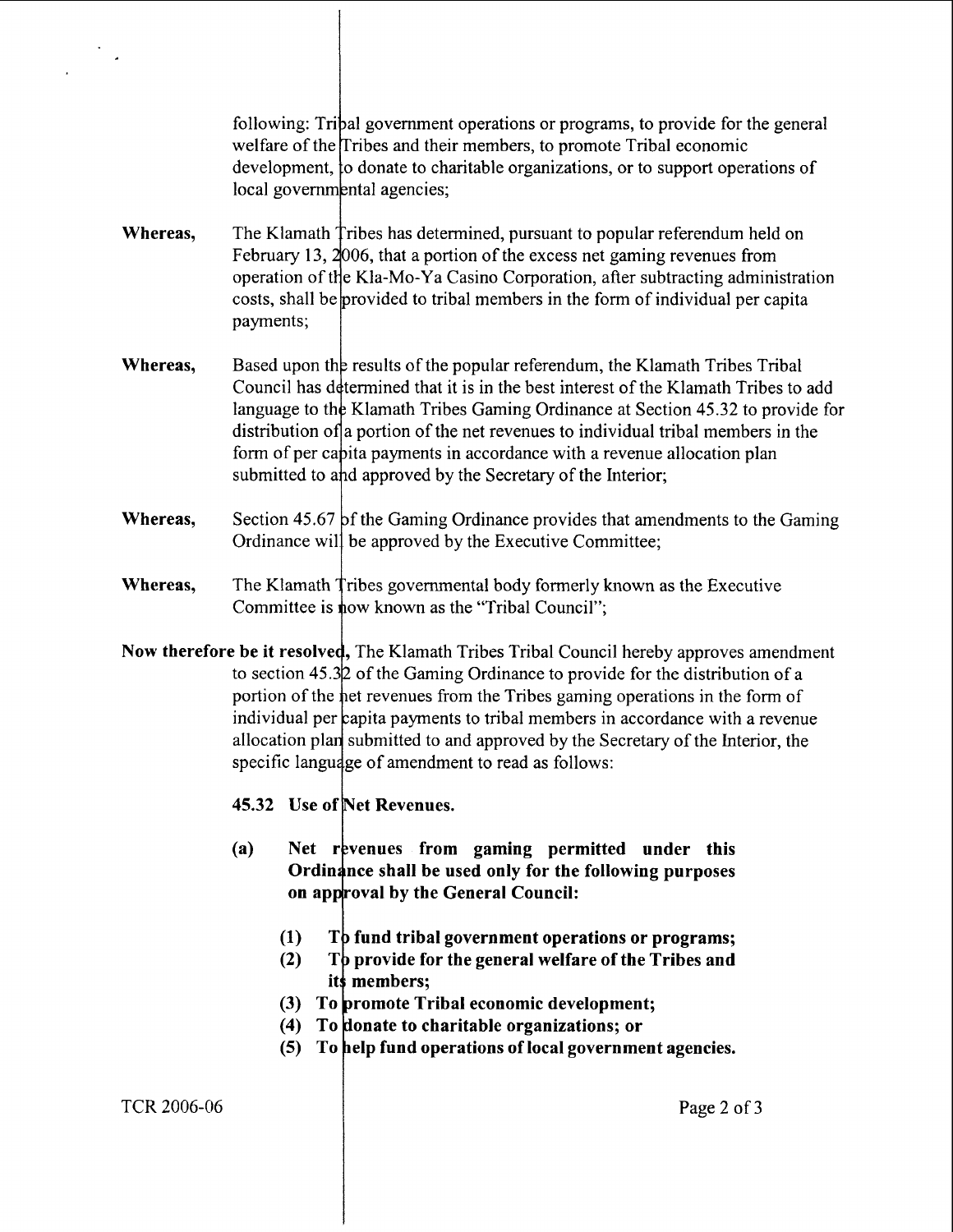following: Tribal government operations or programs, to provide for the general welfare of the Tribes and their members, to promote Tribal economic development, to donate to charitable organizations, or to support operations of local governmental agencies;

- Whereas, The Klamath Tribes has determined, pursuant to popular referendum held on February 13,  $2006$ , that a portion of the excess net gaming revenues from operation of the Kla-Mo-Ya Casino Corporation, after subtracting administration costs, shall be provided to tribal members in the form of individual per capita payments;
- **Whereas,** Based upon the results of the popular referendum, the Klamath Tribes Tribal Council has determined that it is in the best interest of the Klamath Tribes to add language to the Klamath Tribes Gaming Ordinance at Section 45.32 to provide for distribution of a portion of the net revenues to individual tribal members in the form of per capita payments in accordance with a revenue allocation plan submitted to and approved by the Secretary of the Interior;
- Whereas, Section 45.67 bf the Gaming Ordinance provides that amendments to the Gaming Ordinance will be approved by the Executive Committee;
- **Whereas,** The Klamath Tribes governmental body formerly known as the Executive Committee is now known as the "Tribal Council";
- Now therefore be it resolved, The Klamath Tribes Tribal Council hereby approves amendment to section  $45.32$  of the Gaming Ordinance to provide for the distribution of a portion of the het revenues from the Tribes gaming operations in the form of individual per capita payments to tribal members in accordance with a revenue allocation plan submitted to and approved by the Secretary of the Interior, the specific language of amendment to read as follows:
	- **45.32 Use of Net Revenues.**<br>**(a)** Net revenues from
	- Net revenues from gaming permitted under this **b** Ordinance shall be used only for the following purposes on approval by the General Council:
		- **(1) T fund tribal government operations or programs;**
		- **(2) T provide for the general welfare of the Tribes and**  its members;
		- **(3) To romote Tribal economic development;**
		- **(4)** To donate to charitable organizations; or
		- **(5)** To help fund operations of local government agencies.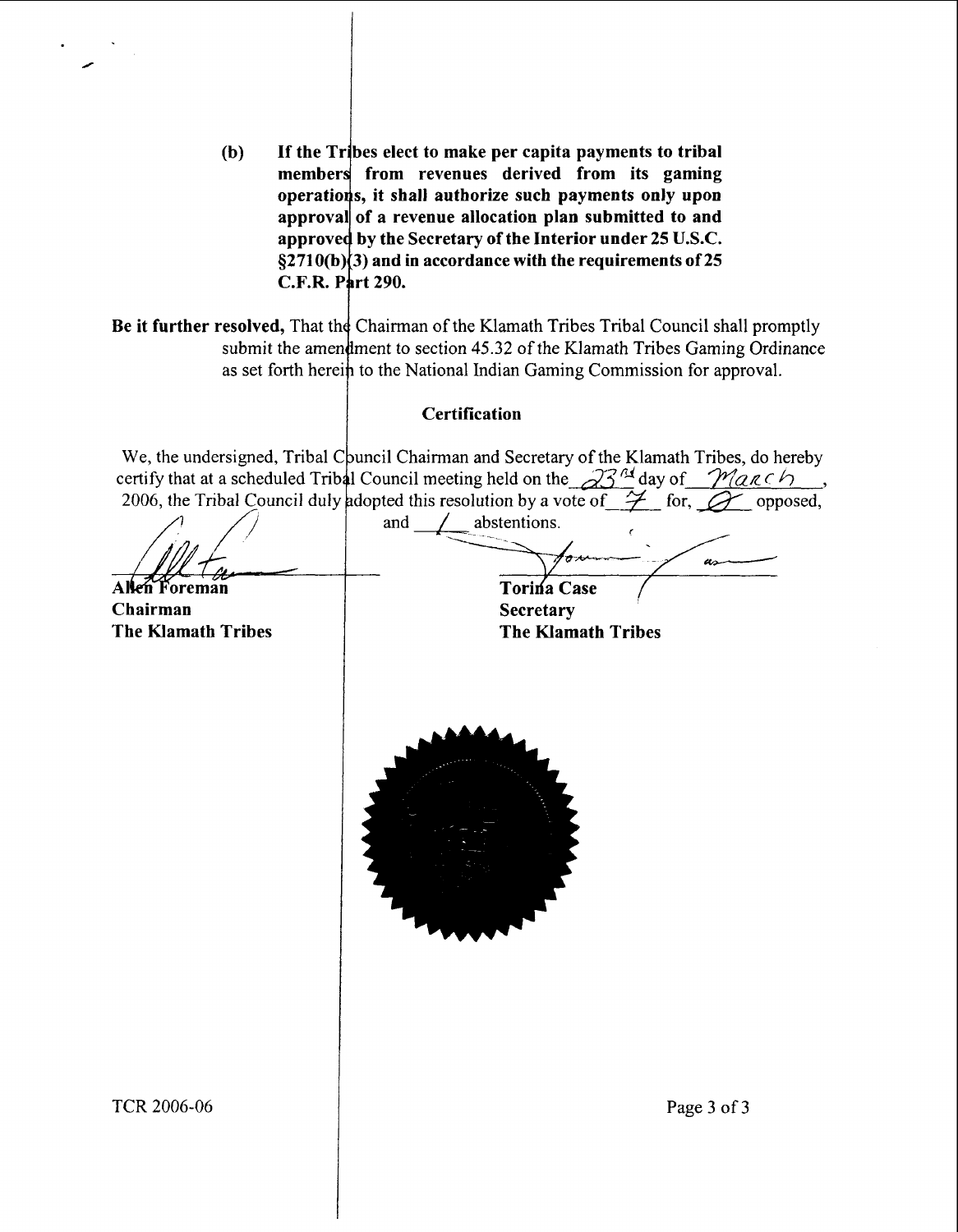(b) If the Tribes elect to make per capita payments to tribal members from revenues derived from its gaming operations, it shall authorize such payments only upon approval of a revenue allocation plan submitted to and approved by the Secretary of the Interior under 25 U.S.C.  $\S 2710(\mathrm{b})\$ 3) and in accordance with the requirements of 25  $^2$ C.F.R. Part 290.

Be it further resolved, That the Chairman of the Klamath Tribes Tribal Council shall promptly submit the amendment to section 45.32 of the Klamath Tribes Gaming Ordinance as set forth herein to the National Indian Gaming Commission for approval.

#### **Certification**

il Chairman and Secretary of the Klamath Tribes, do hereby<br>
uncil meeting held on the  $\frac{33^{n4}}{4}$  day of  $\frac{M_{QRC}}{n}$ ,<br>
ted this resolution by a vote of  $\frac{2}{\pi}$  for,  $\frac{2}{\pi}$  opposed,<br>
and  $\frac{4}{\pi}$  abstentions. uncil meeting held on the  $\frac{33^{\text{rd}}}{4}$  day of  $\frac{M_{QRC}}{6}$ ,<br>ted this resolution by a vote of  $\frac{4}{100}$  for,  $\frac{4}{100}$  opposed, and / abstentions. Allen Foreman Torina Case Chairman **Secretary** The Klamath Tribes The Klamath Tribes